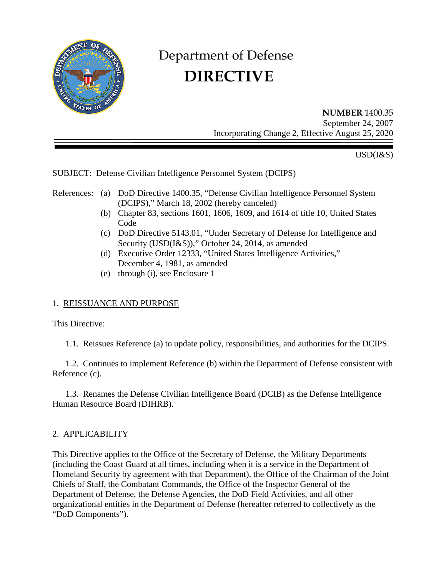

# Department of Defense  **DIRECTIVE**

**NUMBER** 1400.35 September 24, 2007 Incorporating Change 2, Effective August 25, 2020

USD(I&S)

SUBJECT: Defense Civilian Intelligence Personnel System (DCIPS)

- References: (a) DoD Directive 1400.35, "Defense Civilian Intelligence Personnel System (DCIPS)," March 18, 2002 (hereby canceled)
	- (b) Chapter 83, sections 1601, 1606, 1609, and 1614 of title 10, United States Code
	- (c) DoD Directive 5143.01, "Under Secretary of Defense for Intelligence and Security (USD(I&S))," October 24, 2014, as amended
	- (d) Executive Order 12333, "United States Intelligence Activities," December 4, 1981, as amended
	- (e) through (i), see Enclosure 1

## 1. REISSUANCE AND PURPOSE

This Directive:

1.1. Reissues Reference (a) to update policy, responsibilities, and authorities for the DCIPS.

 1.2. Continues to implement Reference (b) within the Department of Defense consistent with Reference (c).

 1.3. Renames the Defense Civilian Intelligence Board (DCIB) as the Defense Intelligence Human Resource Board (DIHRB).

## 2. APPLICABILITY

This Directive applies to the Office of the Secretary of Defense, the Military Departments (including the Coast Guard at all times, including when it is a service in the Department of Homeland Security by agreement with that Department), the Office of the Chairman of the Joint Chiefs of Staff, the Combatant Commands, the Office of the Inspector General of the Department of Defense, the Defense Agencies, the DoD Field Activities, and all other organizational entities in the Department of Defense (hereafter referred to collectively as the "DoD Components").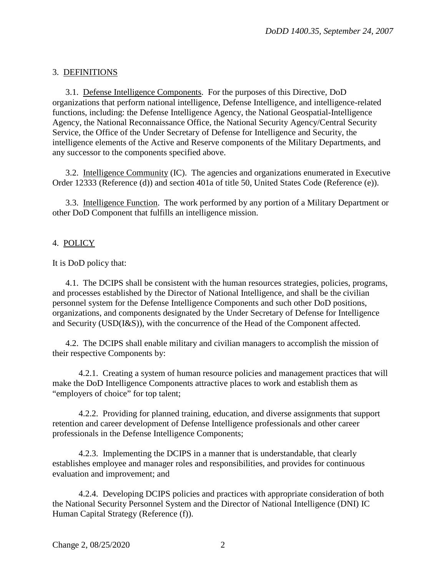# 3. DEFINITIONS

 3.1. Defense Intelligence Components. For the purposes of this Directive, DoD organizations that perform national intelligence, Defense Intelligence, and intelligence-related functions, including: the Defense Intelligence Agency, the National Geospatial-Intelligence Agency, the National Reconnaissance Office, the National Security Agency/Central Security Service, the Office of the Under Secretary of Defense for Intelligence and Security, the intelligence elements of the Active and Reserve components of the Military Departments, and any successor to the components specified above.

 3.2. Intelligence Community (IC). The agencies and organizations enumerated in Executive Order 12333 (Reference (d)) and section 401a of title 50, United States Code (Reference (e)).

 3.3. Intelligence Function. The work performed by any portion of a Military Department or other DoD Component that fulfills an intelligence mission.

## 4. POLICY

It is DoD policy that:

 4.1. The DCIPS shall be consistent with the human resources strategies, policies, programs, and processes established by the Director of National Intelligence, and shall be the civilian personnel system for the Defense Intelligence Components and such other DoD positions, organizations, and components designated by the Under Secretary of Defense for Intelligence and Security (USD(I&S)), with the concurrence of the Head of the Component affected.

 4.2. The DCIPS shall enable military and civilian managers to accomplish the mission of their respective Components by:

 4.2.1. Creating a system of human resource policies and management practices that will make the DoD Intelligence Components attractive places to work and establish them as "employers of choice" for top talent;

 4.2.2. Providing for planned training, education, and diverse assignments that support retention and career development of Defense Intelligence professionals and other career professionals in the Defense Intelligence Components;

 4.2.3. Implementing the DCIPS in a manner that is understandable, that clearly establishes employee and manager roles and responsibilities, and provides for continuous evaluation and improvement; and

 4.2.4. Developing DCIPS policies and practices with appropriate consideration of both the National Security Personnel System and the Director of National Intelligence (DNI) IC Human Capital Strategy (Reference (f)).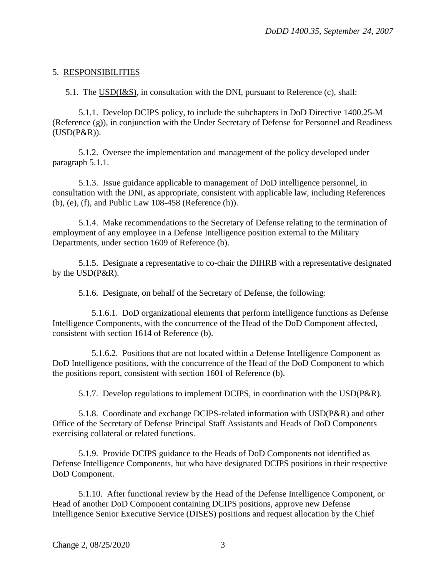#### 5. RESPONSIBILITIES

5.1. The USD(I&S), in consultation with the DNI, pursuant to Reference (c), shall:

 5.1.1. Develop DCIPS policy, to include the subchapters in DoD Directive 1400.25-M (Reference (g)), in conjunction with the Under Secretary of Defense for Personnel and Readiness (USD(P&R)).

 5.1.2. Oversee the implementation and management of the policy developed under paragraph 5.1.1.

 5.1.3. Issue guidance applicable to management of DoD intelligence personnel, in consultation with the DNI, as appropriate, consistent with applicable law, including References (b), (e), (f), and Public Law 108-458 (Reference (h)).

 5.1.4. Make recommendations to the Secretary of Defense relating to the termination of employment of any employee in a Defense Intelligence position external to the Military Departments, under section 1609 of Reference (b).

 5.1.5. Designate a representative to co-chair the DIHRB with a representative designated by the USD(P&R).

5.1.6. Designate, on behalf of the Secretary of Defense, the following:

 5.1.6.1. DoD organizational elements that perform intelligence functions as Defense Intelligence Components, with the concurrence of the Head of the DoD Component affected, consistent with section 1614 of Reference (b).

 5.1.6.2. Positions that are not located within a Defense Intelligence Component as DoD Intelligence positions, with the concurrence of the Head of the DoD Component to which the positions report, consistent with section 1601 of Reference (b).

5.1.7. Develop regulations to implement DCIPS, in coordination with the USD(P&R).

 5.1.8. Coordinate and exchange DCIPS-related information with USD(P&R) and other Office of the Secretary of Defense Principal Staff Assistants and Heads of DoD Components exercising collateral or related functions.

 5.1.9. Provide DCIPS guidance to the Heads of DoD Components not identified as Defense Intelligence Components, but who have designated DCIPS positions in their respective DoD Component.

 5.1.10. After functional review by the Head of the Defense Intelligence Component, or Head of another DoD Component containing DCIPS positions, approve new Defense Intelligence Senior Executive Service (DISES) positions and request allocation by the Chief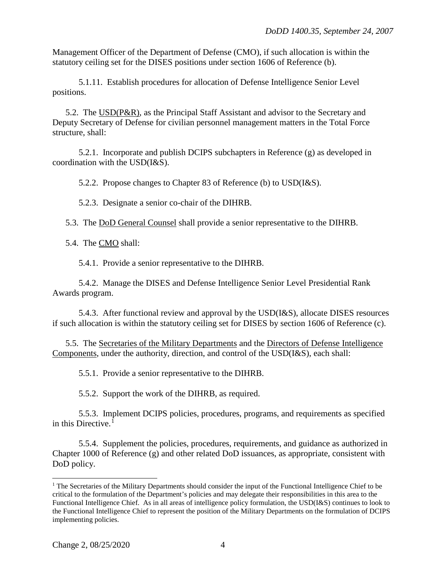Management Officer of the Department of Defense (CMO), if such allocation is within the statutory ceiling set for the DISES positions under section 1606 of Reference (b).

 5.1.11. Establish procedures for allocation of Defense Intelligence Senior Level positions.

 5.2. The USD(P&R), as the Principal Staff Assistant and advisor to the Secretary and Deputy Secretary of Defense for civilian personnel management matters in the Total Force structure, shall:

 5.2.1. Incorporate and publish DCIPS subchapters in Reference (g) as developed in coordination with the USD(I&S).

5.2.2. Propose changes to Chapter 83 of Reference (b) to USD(I&S).

5.2.3. Designate a senior co-chair of the DIHRB.

5.3. The DoD General Counsel shall provide a senior representative to the DIHRB.

5.4. The CMO shall:

5.4.1. Provide a senior representative to the DIHRB.

 5.4.2. Manage the DISES and Defense Intelligence Senior Level Presidential Rank Awards program.

 5.4.3. After functional review and approval by the USD(I&S), allocate DISES resources if such allocation is within the statutory ceiling set for DISES by section 1606 of Reference (c).

 5.5. The Secretaries of the Military Departments and the Directors of Defense Intelligence Components, under the authority, direction, and control of the USD(I&S), each shall:

5.5.1. Provide a senior representative to the DIHRB.

5.5.2. Support the work of the DIHRB, as required.

 5.5.3. Implement DCIPS policies, procedures, programs, and requirements as specified in this Directive. $<sup>1</sup>$  $<sup>1</sup>$  $<sup>1</sup>$ </sup>

 5.5.4. Supplement the policies, procedures, requirements, and guidance as authorized in Chapter 1000 of Reference (g) and other related DoD issuances, as appropriate, consistent with DoD policy.

 $\overline{a}$ 

<span id="page-3-0"></span><sup>&</sup>lt;sup>1</sup> The Secretaries of the Military Departments should consider the input of the Functional Intelligence Chief to be critical to the formulation of the Department's policies and may delegate their responsibilities in this area to the Functional Intelligence Chief. As in all areas of intelligence policy formulation, the USD(I&S) continues to look to the Functional Intelligence Chief to represent the position of the Military Departments on the formulation of DCIPS implementing policies.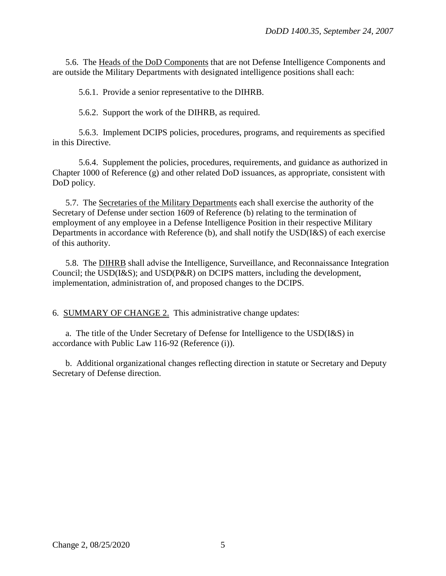5.6. The Heads of the DoD Components that are not Defense Intelligence Components and are outside the Military Departments with designated intelligence positions shall each:

5.6.1. Provide a senior representative to the DIHRB.

5.6.2. Support the work of the DIHRB, as required.

 5.6.3. Implement DCIPS policies, procedures, programs, and requirements as specified in this Directive.

 5.6.4. Supplement the policies, procedures, requirements, and guidance as authorized in Chapter 1000 of Reference (g) and other related DoD issuances, as appropriate, consistent with DoD policy.

 5.7. The Secretaries of the Military Departments each shall exercise the authority of the Secretary of Defense under section 1609 of Reference (b) relating to the termination of employment of any employee in a Defense Intelligence Position in their respective Military Departments in accordance with Reference (b), and shall notify the USD(I&S) of each exercise of this authority.

 5.8. The DIHRB shall advise the Intelligence, Surveillance, and Reconnaissance Integration Council; the USD(I&S); and USD(P&R) on DCIPS matters, including the development, implementation, administration of, and proposed changes to the DCIPS.

6. SUMMARY OF CHANGE 2. This administrative change updates:

a. The title of the Under Secretary of Defense for Intelligence to the USD(I&S) in accordance with Public Law 116-92 (Reference (i)).

 b. Additional organizational changes reflecting direction in statute or Secretary and Deputy Secretary of Defense direction.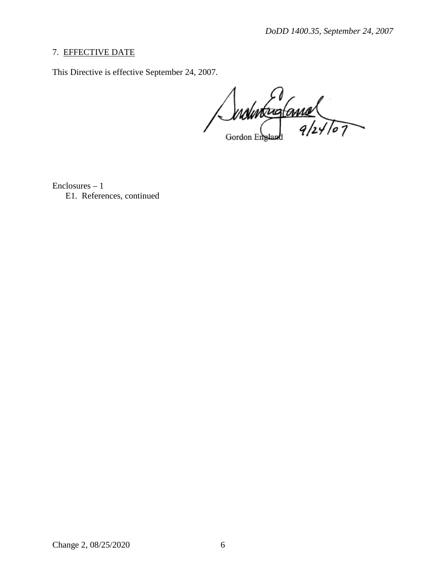#### 7. EFFECTIVE DATE

This Directive is effective September 24, 2007.

Individualement

Enclosures – 1 E1. References, continued